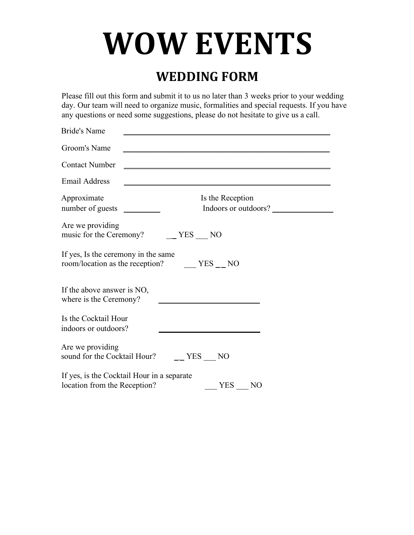# **WOW EVENTS**

#### **WEDDING FORM**

Please fill out this form and submit it to us no later than 3 weeks prior to your wedding day. Our team will need to organize music, formalities and special requests. If you have any questions or need some suggestions, please do not hesitate to give us a call.

| <b>Bride's Name</b>                                                                                 |
|-----------------------------------------------------------------------------------------------------|
| Groom's Name                                                                                        |
| <b>Contact Number</b>                                                                               |
| <b>Email Address</b>                                                                                |
| Approximate<br>Is the Reception<br>Indoors or outdoors?                                             |
| Are we providing<br>music for the Ceremony?<br>$-$ YES $-$ NO                                       |
| If yes, Is the ceremony in the same<br>room/location as the reception? ______ YES ___ NO            |
| If the above answer is NO,<br>where is the Ceremony?                                                |
| Is the Cocktail Hour<br>indoors or outdoors?                                                        |
| Are we providing<br>sound for the Cocktail Hour?<br>$\equiv$ YES NO                                 |
| If yes, is the Cocktail Hour in a separate<br>location from the Reception?<br>YES<br>N <sub>O</sub> |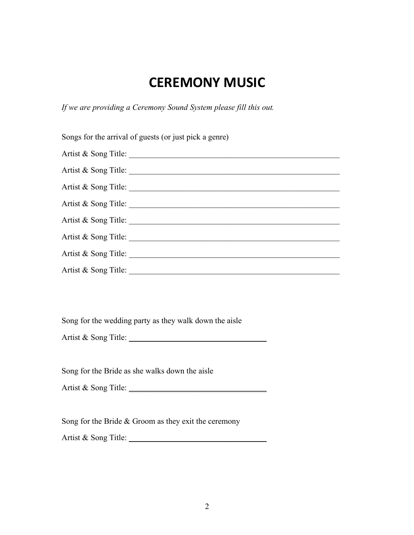### **CEREMONY MUSIC**

*If we are providing a Ceremony Sound System please fill this out.* 

| Songs for the arrival of guests (or just pick a genre) |
|--------------------------------------------------------|
| Artist & Song Title:                                   |
| Artist & Song Title:                                   |
| Artist & Song Title:                                   |
| Artist & Song Title:                                   |
| Artist & Song Title:                                   |
|                                                        |
| Artist & Song Title:                                   |
| Artist & Song Title:                                   |

Song for the wedding party as they walk down the aisle

Artist & Song Title:

Song for the Bride as she walks down the aisle

Artist & Song Title: \_\_\_\_\_\_\_\_\_\_\_\_\_\_\_\_\_\_\_\_\_\_\_\_\_\_\_\_\_\_\_\_\_\_

Song for the Bride & Groom as they exit the ceremony

Artist & Song Title: \_\_\_\_\_\_\_\_\_\_\_\_\_\_\_\_\_\_\_\_\_\_\_\_\_\_\_\_\_\_\_\_\_\_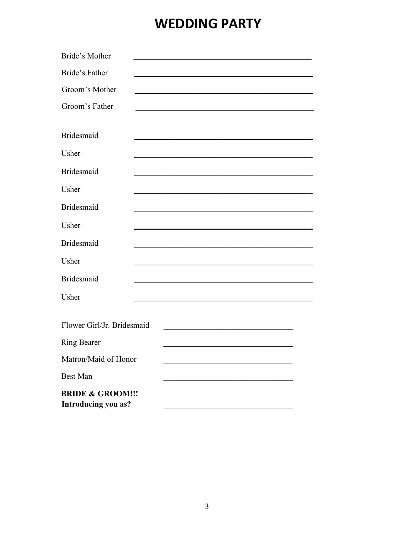## **WEDDING PARTY**

| Bride's Mother                                     |  |                                                                                                                                                                                                                               |  |
|----------------------------------------------------|--|-------------------------------------------------------------------------------------------------------------------------------------------------------------------------------------------------------------------------------|--|
| Bride's Father                                     |  |                                                                                                                                                                                                                               |  |
| Groom's Mother                                     |  | the control of the control of the control of the control of the control of the control of the control of the control of the control of the control of the control of the control of the control of the control of the control |  |
| Groom's Father                                     |  |                                                                                                                                                                                                                               |  |
|                                                    |  |                                                                                                                                                                                                                               |  |
| <b>Bridesmaid</b>                                  |  | <u> 1989 - Johann John Stone, markin amerikan basar dan berkecama dalam pengaran basar dalam pengaran dalam peng</u>                                                                                                          |  |
| Usher                                              |  |                                                                                                                                                                                                                               |  |
| <b>Bridesmaid</b>                                  |  |                                                                                                                                                                                                                               |  |
| Usher                                              |  |                                                                                                                                                                                                                               |  |
| <b>Bridesmaid</b>                                  |  |                                                                                                                                                                                                                               |  |
| Usher                                              |  |                                                                                                                                                                                                                               |  |
| <b>Bridesmaid</b>                                  |  |                                                                                                                                                                                                                               |  |
| Usher                                              |  |                                                                                                                                                                                                                               |  |
| <b>Bridesmaid</b>                                  |  |                                                                                                                                                                                                                               |  |
| Usher                                              |  |                                                                                                                                                                                                                               |  |
|                                                    |  |                                                                                                                                                                                                                               |  |
| Flower Girl/Jr. Bridesmaid                         |  |                                                                                                                                                                                                                               |  |
| <b>Ring Bearer</b>                                 |  | <u> 1989 - Johann Barbara, martxa alemaniar a</u>                                                                                                                                                                             |  |
| Matron/Maid of Honor                               |  |                                                                                                                                                                                                                               |  |
| <b>Best Man</b>                                    |  |                                                                                                                                                                                                                               |  |
| <b>BRIDE &amp; GROOM!!!</b><br>Introducing you as? |  |                                                                                                                                                                                                                               |  |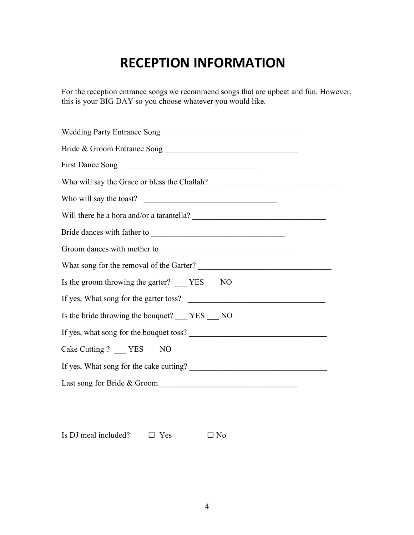# **RECEPTION INFORMATION**

For the reception entrance songs we recommend songs that are upbeat and fun. However, this is your BIG DAY so you choose whatever you would like.

| Wedding Party Entrance Song                      |
|--------------------------------------------------|
| Bride & Groom Entrance Song                      |
| First Dance Song                                 |
|                                                  |
| Who will say the toast?                          |
| Will there be a hora and/or a tarantella?        |
|                                                  |
|                                                  |
| What song for the removal of the Garter?         |
| Is the groom throwing the garter? ___ YES ___ NO |
| If yes, What song for the garter toss?           |
| Is the bride throwing the bouquet? ___ YES __ NO |
| If yes, what song for the bouquet toss?          |
| Cake Cutting ? ___ YES ___ NO                    |
|                                                  |
|                                                  |
|                                                  |

Is DJ meal included?  $□$  Yes  $□$  No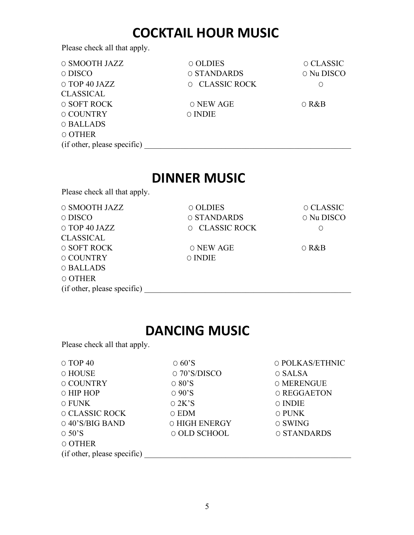#### **COCKTAIL HOUR MUSIC**

Please check all that apply.

| O SMOOTH JAZZ               | O OLDIES       | O CLASSIC   |
|-----------------------------|----------------|-------------|
| o DISCO                     | O STANDARDS    | O Nu DISCO  |
| O TOP 40 JAZZ               | O CLASSIC ROCK | O           |
| CLASSICAL                   |                |             |
| O SOFT ROCK                 | O NEW AGE      | $\circ$ R&B |
| <b>O COUNTRY</b>            | <b>O</b> INDIE |             |
| O BALLADS                   |                |             |
| O OTHER                     |                |             |
| (if other, please specific) |                |             |

#### **DINNER MUSIC**

Please check all that apply.

| O SMOOTH JAZZ               | O OLDIES       | O CLASSIC   |
|-----------------------------|----------------|-------------|
| O DISCO                     | O STANDARDS    | O Nu DISCO  |
| O TOP 40 JAZZ               | O CLASSIC ROCK | Ő           |
| <b>CLASSICAL</b>            |                |             |
| O SOFT ROCK                 | O NEW AGE      | $\circ$ R&B |
| <b>O COUNTRY</b>            | <b>O</b> INDIE |             |
| O BALLADS                   |                |             |
| O OTHER                     |                |             |
| (if other, please specific) |                |             |

#### **DANCING MUSIC**

Please check all that apply.

| $\circ$ TOP 40              | $\circ$ 60'S       | O POLKAS/ETHNIC |
|-----------------------------|--------------------|-----------------|
| O HOUSE                     | $\circ$ 70'S/DISCO | O SALSA         |
| <b>O COUNTRY</b>            | $\circ$ 80'S       | O MERENGUE      |
| O HIP HOP                   | $\circ$ 90'S       | O REGGAETON     |
| O FUNK                      | $\circ$ 2K'S       | <b>O</b> INDIE  |
| O CLASSIC ROCK              | 0 EDM              | O PUNK          |
| $\circ$ 40'S/BIG BAND       | O HIGH ENERGY      | O SWING         |
| $\circ$ 50'S                | O OLD SCHOOL       | O STANDARDS     |
| O OTHER                     |                    |                 |
| (if other, please specific) |                    |                 |